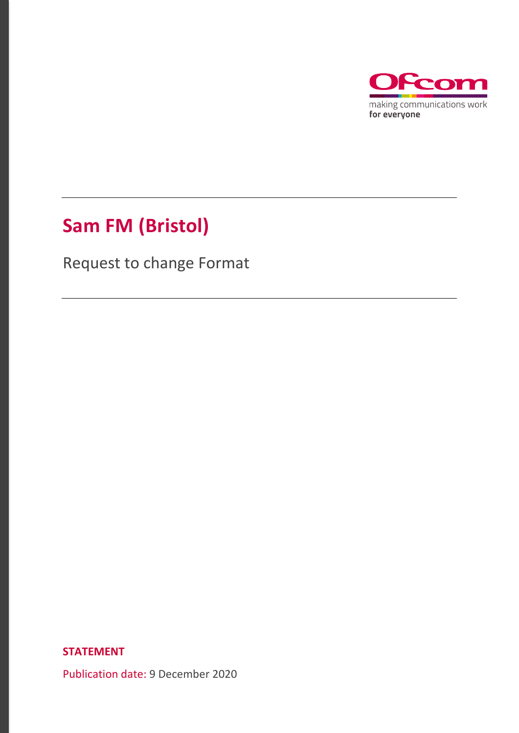

# **Sam FM (Bristol)**

Request to change Format

**STATEMENT**

Publication date: 9 December 2020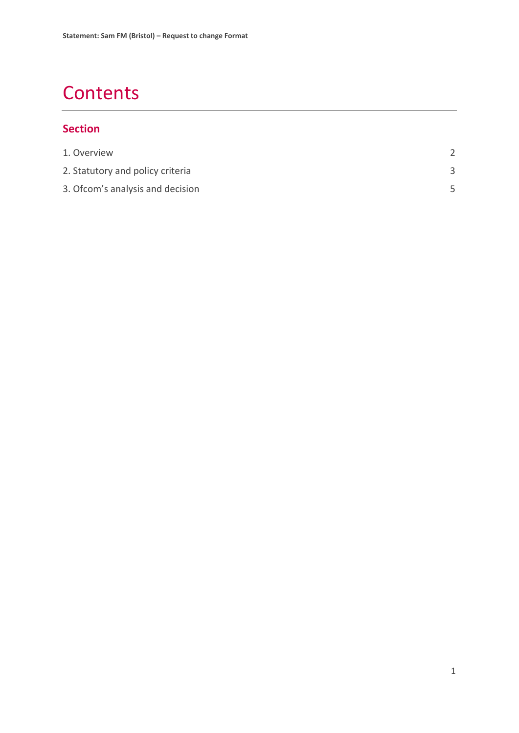# **Contents**

#### **Section**

| 1. Overview                      |  |
|----------------------------------|--|
| 2. Statutory and policy criteria |  |
| 3. Ofcom's analysis and decision |  |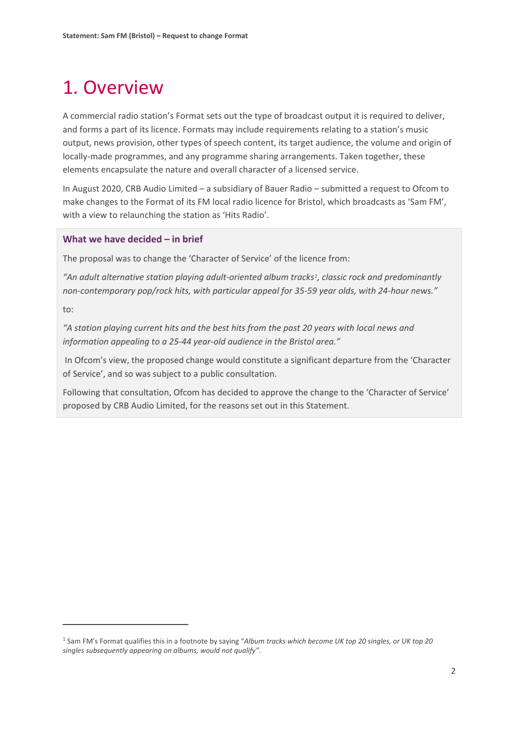# <span id="page-2-0"></span>1. Overview

A commercial radio station's Format sets out the type of broadcast output it is required to deliver, and forms a part of its licence. Formats may include requirements relating to a station's music output, news provision, other types of speech content, its target audience, the volume and origin of locally-made programmes, and any programme sharing arrangements. Taken together, these elements encapsulate the nature and overall character of a licensed service.

In August 2020, CRB Audio Limited – a subsidiary of Bauer Radio – submitted a request to Ofcom to make changes to the Format of its FM local radio licence for Bristol, which broadcasts as 'Sam FM', with a view to relaunching the station as 'Hits Radio'.

#### **What we have decided – in brief**

The proposal was to change the 'Character of Service' of the licence from:

*"An adult alternative station playing adult-oriented album tracks[1](#page-2-1), classic rock and predominantly non-contemporary pop/rock hits, with particular appeal for 35-59 year olds, with 24-hour news."* 

to:

*"A station playing current hits and the best hits from the past 20 years with local news and information appealing to a 25-44 year-old audience in the Bristol area."*

In Ofcom's view, the proposed change would constitute a significant departure from the 'Character of Service', and so was subject to a public consultation.

Following that consultation, Ofcom has decided to approve the change to the 'Character of Service' proposed by CRB Audio Limited, for the reasons set out in this Statement.

<span id="page-2-1"></span><sup>1</sup> Sam FM's Format qualifies this in a footnote by saying "*Album tracks which become UK top 20 singles, or UK top 20 singles subsequently appearing on albums, would not qualify"*.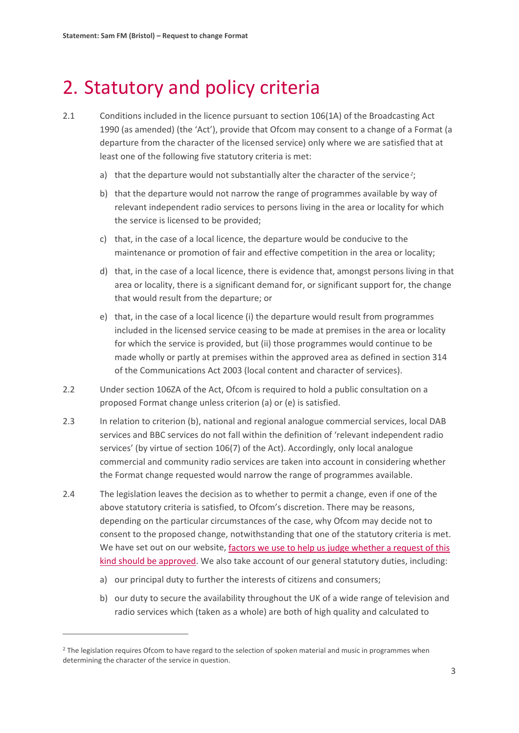## <span id="page-3-0"></span>2. Statutory and policy criteria

- 2.1 Conditions included in the licence pursuant to section 106(1A) of the Broadcasting Act 1990 (as amended) (the 'Act'), provide that Ofcom may consent to a change of a Format (a departure from the character of the licensed service) only where we are satisfied that at least one of the following five statutory criteria is met:
	- a) that the departure would not substantially alter the character of the service *[2](#page-3-1)*;
	- b) that the departure would not narrow the range of programmes available by way of relevant independent radio services to persons living in the area or locality for which the service is licensed to be provided;
	- c) that, in the case of a local licence, the departure would be conducive to the maintenance or promotion of fair and effective competition in the area or locality;
	- d) that, in the case of a local licence, there is evidence that, amongst persons living in that area or locality, there is a significant demand for, or significant support for, the change that would result from the departure; or
	- e) that, in the case of a local licence (i) the departure would result from programmes included in the licensed service ceasing to be made at premises in the area or locality for which the service is provided, but (ii) those programmes would continue to be made wholly or partly at premises within the approved area as defined in section 314 of the Communications Act 2003 (local content and character of services).
- 2.2 Under section 106ZA of the Act, Ofcom is required to hold a public consultation on a proposed Format change unless criterion (a) or (e) is satisfied.
- 2.3 In relation to criterion (b), national and regional analogue commercial services, local DAB services and BBC services do not fall within the definition of 'relevant independent radio services' (by virtue of section 106(7) of the Act). Accordingly, only local analogue commercial and community radio services are taken into account in considering whether the Format change requested would narrow the range of programmes available.
- 2.4 The legislation leaves the decision as to whether to permit a change, even if one of the above statutory criteria is satisfied, to Ofcom's discretion. There may be reasons, depending on the particular circumstances of the case, why Ofcom may decide not to consent to the proposed change, notwithstanding that one of the statutory criteria is met. We have set out on our website, [factors we use to help us judge whether a request of this](https://www.ofcom.org.uk/__data/assets/pdf_file/0024/87405/The-regulation-of-Format-changes.pdf)  [kind should be approved.](https://www.ofcom.org.uk/__data/assets/pdf_file/0024/87405/The-regulation-of-Format-changes.pdf) We also take account of our general statutory duties, including:
	- a) our principal duty to further the interests of citizens and consumers;
	- b) our duty to secure the availability throughout the UK of a wide range of television and radio services which (taken as a whole) are both of high quality and calculated to

<span id="page-3-1"></span><sup>&</sup>lt;sup>2</sup> The legislation requires Ofcom to have regard to the selection of spoken material and music in programmes when determining the character of the service in question.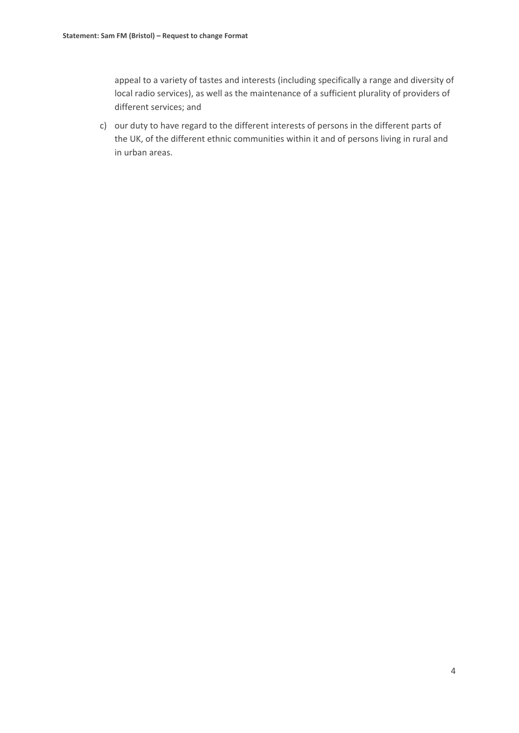appeal to a variety of tastes and interests (including specifically a range and diversity of local radio services), as well as the maintenance of a sufficient plurality of providers of different services; and

c) our duty to have regard to the different interests of persons in the different parts of the UK, of the different ethnic communities within it and of persons living in rural and in urban areas.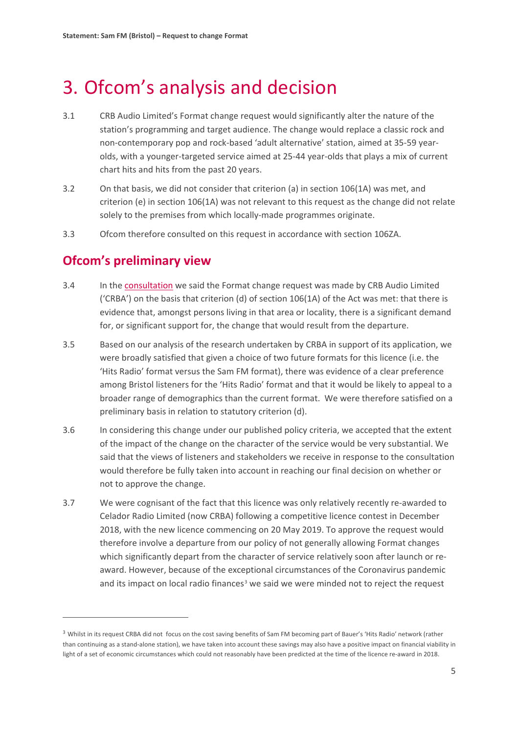### <span id="page-5-0"></span>3. Ofcom's analysis and decision

- 3.1 CRB Audio Limited's Format change request would significantly alter the nature of the station's programming and target audience. The change would replace a classic rock and non-contemporary pop and rock-based 'adult alternative' station, aimed at 35-59 yearolds, with a younger-targeted service aimed at 25-44 year-olds that plays a mix of current chart hits and hits from the past 20 years.
- 3.2 On that basis, we did not consider that criterion (a) in section 106(1A) was met, and criterion (e) in section 106(1A) was not relevant to this request as the change did not relate solely to the premises from which locally-made programmes originate.
- 3.3 Ofcom therefore consulted on this request in accordance with section 106ZA.

### **Ofcom's preliminary view**

- 3.4 In the [consultation](https://www.ofcom.org.uk/__data/assets/pdf_file/0015/200553/consultation-love-sport-north-london-format-change-request.pdf) we said the Format change request was made by CRB Audio Limited ('CRBA') on the basis that criterion (d) of section 106(1A) of the Act was met: that there is evidence that, amongst persons living in that area or locality, there is a significant demand for, or significant support for, the change that would result from the departure.
- 3.5 Based on our analysis of the research undertaken by CRBA in support of its application, we were broadly satisfied that given a choice of two future formats for this licence (i.e. the 'Hits Radio' format versus the Sam FM format), there was evidence of a clear preference among Bristol listeners for the 'Hits Radio' format and that it would be likely to appeal to a broader range of demographics than the current format. We were therefore satisfied on a preliminary basis in relation to statutory criterion (d).
- 3.6 In considering this change under our published policy criteria, we accepted that the extent of the impact of the change on the character of the service would be very substantial. We said that the views of listeners and stakeholders we receive in response to the consultation would therefore be fully taken into account in reaching our final decision on whether or not to approve the change.
- 3.7 We were cognisant of the fact that this licence was only relatively recently re-awarded to Celador Radio Limited (now CRBA) following a competitive licence contest in December 2018, with the new licence commencing on 20 May 2019. To approve the request would therefore involve a departure from our policy of not generally allowing Format changes which significantly depart from the character of service relatively soon after launch or reaward. However, because of the exceptional circumstances of the Coronavirus pandemic and its impact on local radio finances<sup>[3](#page-5-1)</sup> we said we were minded not to reject the request

<span id="page-5-1"></span><sup>&</sup>lt;sup>3</sup> Whilst in its request CRBA did not focus on the cost saving benefits of Sam FM becoming part of Bauer's 'Hits Radio' network (rather than continuing as a stand-alone station), we have taken into account these savings may also have a positive impact on financial viability in light of a set of economic circumstances which could not reasonably have been predicted at the time of the licence re-award in 2018.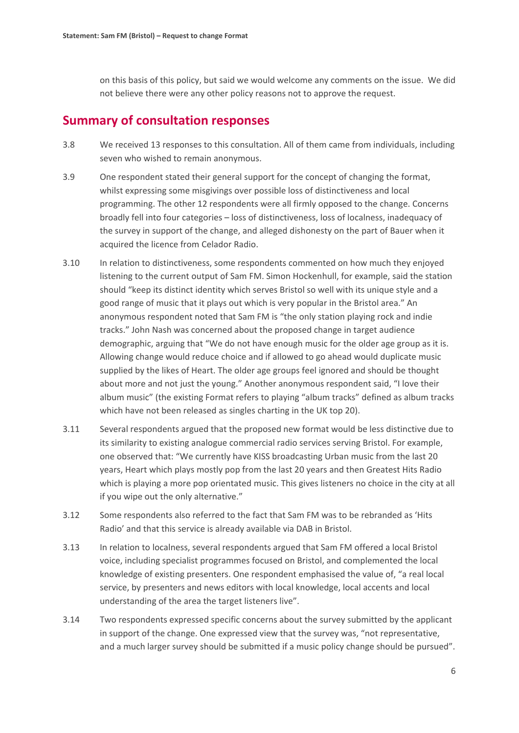on this basis of this policy, but said we would welcome any comments on the issue. We did not believe there were any other policy reasons not to approve the request.

### **Summary of consultation responses**

- 3.8 We received 13 responses to this consultation. All of them came from individuals, including seven who wished to remain anonymous.
- 3.9 One respondent stated their general support for the concept of changing the format, whilst expressing some misgivings over possible loss of distinctiveness and local programming. The other 12 respondents were all firmly opposed to the change. Concerns broadly fell into four categories – loss of distinctiveness, loss of localness, inadequacy of the survey in support of the change, and alleged dishonesty on the part of Bauer when it acquired the licence from Celador Radio.
- 3.10 In relation to distinctiveness, some respondents commented on how much they enjoyed listening to the current output of Sam FM. Simon Hockenhull, for example, said the station should "keep its distinct identity which serves Bristol so well with its unique style and a good range of music that it plays out which is very popular in the Bristol area." An anonymous respondent noted that Sam FM is "the only station playing rock and indie tracks." John Nash was concerned about the proposed change in target audience demographic, arguing that "We do not have enough music for the older age group as it is. Allowing change would reduce choice and if allowed to go ahead would duplicate music supplied by the likes of Heart. The older age groups feel ignored and should be thought about more and not just the young." Another anonymous respondent said, "I love their album music" (the existing Format refers to playing "album tracks" defined as album tracks which have not been released as singles charting in the UK top 20).
- 3.11 Several respondents argued that the proposed new format would be less distinctive due to its similarity to existing analogue commercial radio services serving Bristol. For example, one observed that: "We currently have KISS broadcasting Urban music from the last 20 years, Heart which plays mostly pop from the last 20 years and then Greatest Hits Radio which is playing a more pop orientated music. This gives listeners no choice in the city at all if you wipe out the only alternative."
- 3.12 Some respondents also referred to the fact that Sam FM was to be rebranded as 'Hits Radio' and that this service is already available via DAB in Bristol.
- 3.13 In relation to localness, several respondents argued that Sam FM offered a local Bristol voice, including specialist programmes focused on Bristol, and complemented the local knowledge of existing presenters. One respondent emphasised the value of, "a real local service, by presenters and news editors with local knowledge, local accents and local understanding of the area the target listeners live".
- 3.14 Two respondents expressed specific concerns about the survey submitted by the applicant in support of the change. One expressed view that the survey was, "not representative, and a much larger survey should be submitted if a music policy change should be pursued".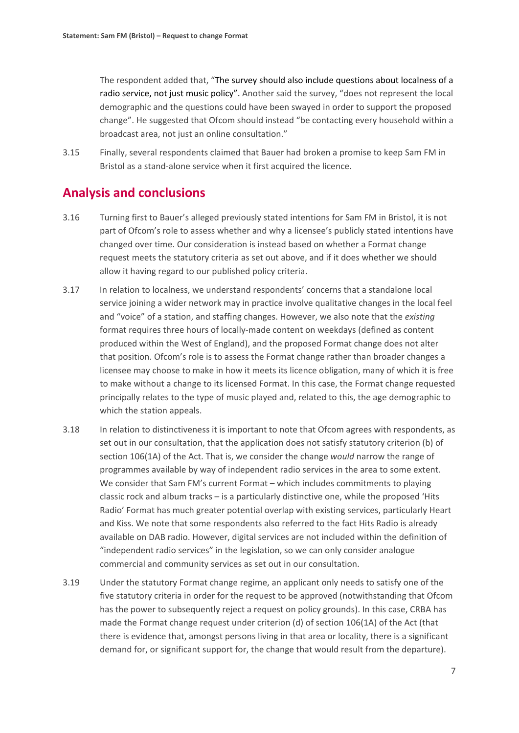The respondent added that, "The survey should also include questions about localness of a radio service, not just music policy". Another said the survey, "does not represent the local demographic and the questions could have been swayed in order to support the proposed change". He suggested that Ofcom should instead "be contacting every household within a broadcast area, not just an online consultation."

3.15 Finally, several respondents claimed that Bauer had broken a promise to keep Sam FM in Bristol as a stand-alone service when it first acquired the licence.

### **Analysis and conclusions**

- 3.16 Turning first to Bauer's alleged previously stated intentions for Sam FM in Bristol, it is not part of Ofcom's role to assess whether and why a licensee's publicly stated intentions have changed over time. Our consideration is instead based on whether a Format change request meets the statutory criteria as set out above, and if it does whether we should allow it having regard to our published policy criteria.
- 3.17 In relation to localness, we understand respondents' concerns that a standalone local service joining a wider network may in practice involve qualitative changes in the local feel and "voice" of a station, and staffing changes. However, we also note that the *existing* format requires three hours of locally-made content on weekdays (defined as content produced within the West of England), and the proposed Format change does not alter that position. Ofcom's role is to assess the Format change rather than broader changes a licensee may choose to make in how it meets its licence obligation, many of which it is free to make without a change to its licensed Format. In this case, the Format change requested principally relates to the type of music played and, related to this, the age demographic to which the station appeals.
- 3.18 In relation to distinctiveness it is important to note that Ofcom agrees with respondents, as set out in our consultation, that the application does not satisfy statutory criterion (b) of section 106(1A) of the Act. That is, we consider the change *would* narrow the range of programmes available by way of independent radio services in the area to some extent. We consider that Sam FM's current Format – which includes commitments to playing classic rock and album tracks – is a particularly distinctive one, while the proposed 'Hits Radio' Format has much greater potential overlap with existing services, particularly Heart and Kiss. We note that some respondents also referred to the fact Hits Radio is already available on DAB radio. However, digital services are not included within the definition of "independent radio services" in the legislation, so we can only consider analogue commercial and community services as set out in our consultation.
- 3.19 Under the statutory Format change regime, an applicant only needs to satisfy one of the five statutory criteria in order for the request to be approved (notwithstanding that Ofcom has the power to subsequently reject a request on policy grounds). In this case, CRBA has made the Format change request under criterion (d) of section 106(1A) of the Act (that there is evidence that, amongst persons living in that area or locality, there is a significant demand for, or significant support for, the change that would result from the departure).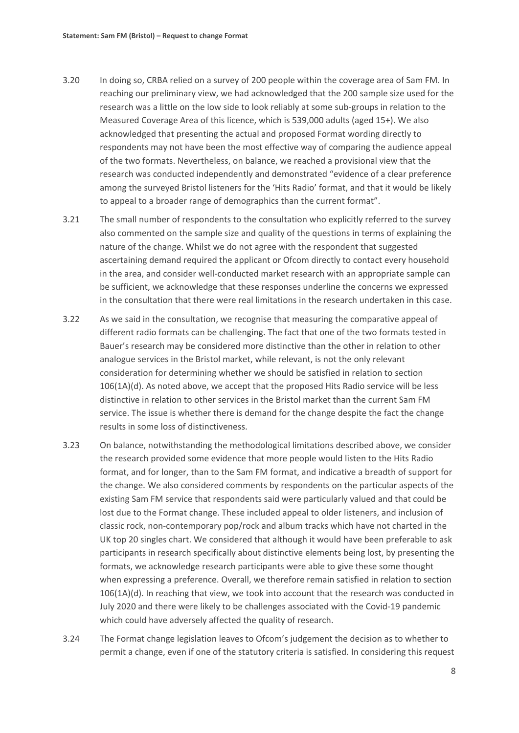- 3.20 In doing so, CRBA relied on a survey of 200 people within the coverage area of Sam FM. In reaching our preliminary view, we had acknowledged that the 200 sample size used for the research was a little on the low side to look reliably at some sub-groups in relation to the Measured Coverage Area of this licence, which is 539,000 adults (aged 15+). We also acknowledged that presenting the actual and proposed Format wording directly to respondents may not have been the most effective way of comparing the audience appeal of the two formats. Nevertheless, on balance, we reached a provisional view that the research was conducted independently and demonstrated "evidence of a clear preference among the surveyed Bristol listeners for the 'Hits Radio' format, and that it would be likely to appeal to a broader range of demographics than the current format".
- 3.21 The small number of respondents to the consultation who explicitly referred to the survey also commented on the sample size and quality of the questions in terms of explaining the nature of the change. Whilst we do not agree with the respondent that suggested ascertaining demand required the applicant or Ofcom directly to contact every household in the area, and consider well-conducted market research with an appropriate sample can be sufficient, we acknowledge that these responses underline the concerns we expressed in the consultation that there were real limitations in the research undertaken in this case.
- 3.22 As we said in the consultation, we recognise that measuring the comparative appeal of different radio formats can be challenging. The fact that one of the two formats tested in Bauer's research may be considered more distinctive than the other in relation to other analogue services in the Bristol market, while relevant, is not the only relevant consideration for determining whether we should be satisfied in relation to section 106(1A)(d). As noted above, we accept that the proposed Hits Radio service will be less distinctive in relation to other services in the Bristol market than the current Sam FM service. The issue is whether there is demand for the change despite the fact the change results in some loss of distinctiveness.
- 3.23 On balance, notwithstanding the methodological limitations described above, we consider the research provided some evidence that more people would listen to the Hits Radio format, and for longer, than to the Sam FM format, and indicative a breadth of support for the change. We also considered comments by respondents on the particular aspects of the existing Sam FM service that respondents said were particularly valued and that could be lost due to the Format change. These included appeal to older listeners, and inclusion of classic rock, non-contemporary pop/rock and album tracks which have not charted in the UK top 20 singles chart. We considered that although it would have been preferable to ask participants in research specifically about distinctive elements being lost, by presenting the formats, we acknowledge research participants were able to give these some thought when expressing a preference. Overall, we therefore remain satisfied in relation to section 106(1A)(d). In reaching that view, we took into account that the research was conducted in July 2020 and there were likely to be challenges associated with the Covid-19 pandemic which could have adversely affected the quality of research.
- 3.24 The Format change legislation leaves to Ofcom's judgement the decision as to whether to permit a change, even if one of the statutory criteria is satisfied. In considering this request